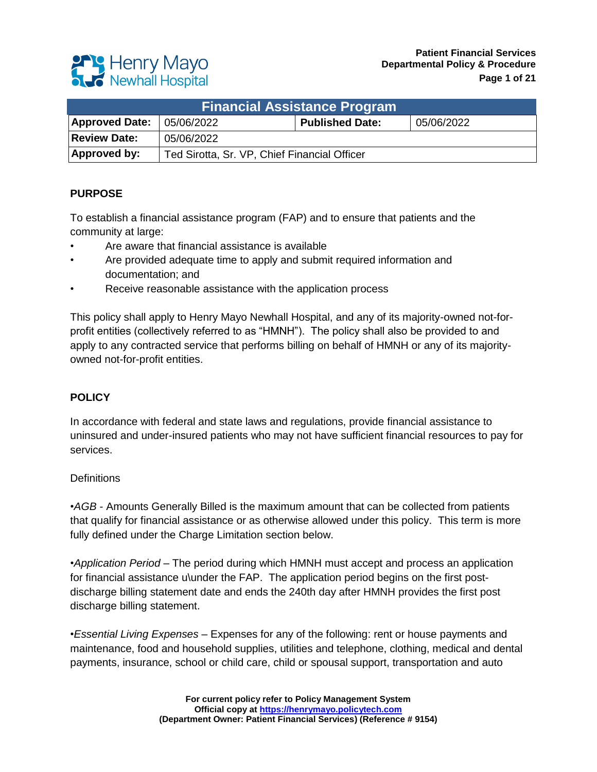# **Patient Financial Services Departmental Policy & Procedure**

|  | <b>Party Henry Mayo</b><br><b>Revivall Hospital</b> |
|--|-----------------------------------------------------|
|  |                                                     |

| <b>Financial Assistance Program</b> |                                              |                        |            |  |  |
|-------------------------------------|----------------------------------------------|------------------------|------------|--|--|
| <b>Approved Date:</b>               | 05/06/2022                                   | <b>Published Date:</b> | 05/06/2022 |  |  |
| <b>Review Date:</b>                 | 05/06/2022                                   |                        |            |  |  |
| <b>Approved by:</b>                 | Ted Sirotta, Sr. VP, Chief Financial Officer |                        |            |  |  |

### **PURPOSE**

To establish a financial assistance program (FAP) and to ensure that patients and the community at large:

- Are aware that financial assistance is available
- Are provided adequate time to apply and submit required information and documentation; and
- Receive reasonable assistance with the application process

This policy shall apply to Henry Mayo Newhall Hospital, and any of its majority-owned not-forprofit entities (collectively referred to as "HMNH"). The policy shall also be provided to and apply to any contracted service that performs billing on behalf of HMNH or any of its majorityowned not-for-profit entities.

### **POLICY**

In accordance with federal and state laws and regulations, provide financial assistance to uninsured and under-insured patients who may not have sufficient financial resources to pay for services.

### **Definitions**

•*AGB* - Amounts Generally Billed is the maximum amount that can be collected from patients that qualify for financial assistance or as otherwise allowed under this policy. This term is more fully defined under the Charge Limitation section below.

•*Application Period* – The period during which HMNH must accept and process an application for financial assistance u\under the FAP. The application period begins on the first postdischarge billing statement date and ends the 240th day after HMNH provides the first post discharge billing statement.

•*Essential Living Expenses* – Expenses for any of the following: rent or house payments and maintenance, food and household supplies, utilities and telephone, clothing, medical and dental payments, insurance, school or child care, child or spousal support, transportation and auto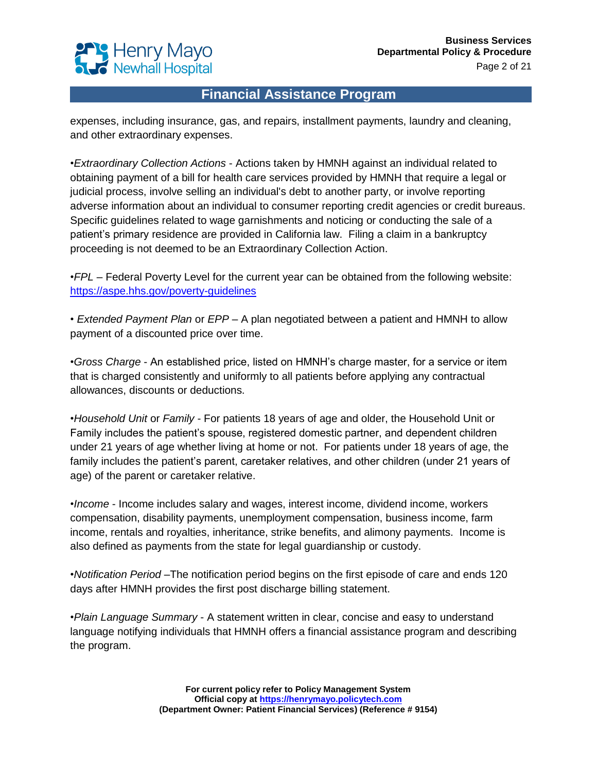

expenses, including insurance, gas, and repairs, installment payments, laundry and cleaning, and other extraordinary expenses.

•*Extraordinary Collection Actions* - Actions taken by HMNH against an individual related to obtaining payment of a bill for health care services provided by HMNH that require a legal or judicial process, involve selling an individual's debt to another party, or involve reporting adverse information about an individual to consumer reporting credit agencies or credit bureaus. Specific guidelines related to wage garnishments and noticing or conducting the sale of a patient's primary residence are provided in California law. Filing a claim in a bankruptcy proceeding is not deemed to be an Extraordinary Collection Action.

•*FPL* – Federal Poverty Level for the current year can be obtained from the following website: <https://aspe.hhs.gov/poverty-guidelines>

• *Extended Payment Plan* or *EPP* – A plan negotiated between a patient and HMNH to allow payment of a discounted price over time.

•*Gross Charge* - An established price, listed on HMNH's charge master, for a service or item that is charged consistently and uniformly to all patients before applying any contractual allowances, discounts or deductions.

•*Household Unit* or *Family* - For patients 18 years of age and older, the Household Unit or Family includes the patient's spouse, registered domestic partner, and dependent children under 21 years of age whether living at home or not. For patients under 18 years of age, the family includes the patient's parent, caretaker relatives, and other children (under 21 years of age) of the parent or caretaker relative.

•*Income* - Income includes salary and wages, interest income, dividend income, workers compensation, disability payments, unemployment compensation, business income, farm income, rentals and royalties, inheritance, strike benefits, and alimony payments. Income is also defined as payments from the state for legal guardianship or custody.

•*Notification Period* –The notification period begins on the first episode of care and ends 120 days after HMNH provides the first post discharge billing statement.

•*Plain Language Summary* - A statement written in clear, concise and easy to understand language notifying individuals that HMNH offers a financial assistance program and describing the program.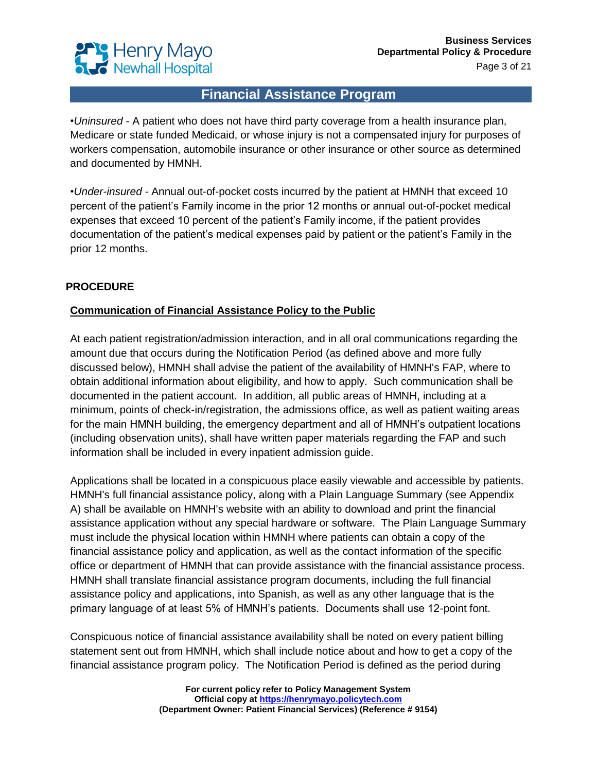

•*Uninsured* - A patient who does not have third party coverage from a health insurance plan, Medicare or state funded Medicaid, or whose injury is not a compensated injury for purposes of workers compensation, automobile insurance or other insurance or other source as determined and documented by HMNH.

•*Under-insured -* Annual out-of-pocket costs incurred by the patient at HMNH that exceed 10 percent of the patient's Family income in the prior 12 months or annual out-of-pocket medical expenses that exceed 10 percent of the patient's Family income, if the patient provides documentation of the patient's medical expenses paid by patient or the patient's Family in the prior 12 months.

### **PROCEDURE**

### **Communication of Financial Assistance Policy to the Public**

At each patient registration/admission interaction, and in all oral communications regarding the amount due that occurs during the Notification Period (as defined above and more fully discussed below), HMNH shall advise the patient of the availability of HMNH's FAP, where to obtain additional information about eligibility, and how to apply. Such communication shall be documented in the patient account. In addition, all public areas of HMNH, including at a minimum, points of check-in/registration, the admissions office, as well as patient waiting areas for the main HMNH building, the emergency department and all of HMNH's outpatient locations (including observation units), shall have written paper materials regarding the FAP and such information shall be included in every inpatient admission guide.

Applications shall be located in a conspicuous place easily viewable and accessible by patients. HMNH's full financial assistance policy, along with a Plain Language Summary (see Appendix A) shall be available on HMNH's website with an ability to download and print the financial assistance application without any special hardware or software. The Plain Language Summary must include the physical location within HMNH where patients can obtain a copy of the financial assistance policy and application, as well as the contact information of the specific office or department of HMNH that can provide assistance with the financial assistance process. HMNH shall translate financial assistance program documents, including the full financial assistance policy and applications, into Spanish, as well as any other language that is the primary language of at least 5% of HMNH's patients. Documents shall use 12-point font.

Conspicuous notice of financial assistance availability shall be noted on every patient billing statement sent out from HMNH, which shall include notice about and how to get a copy of the financial assistance program policy. The Notification Period is defined as the period during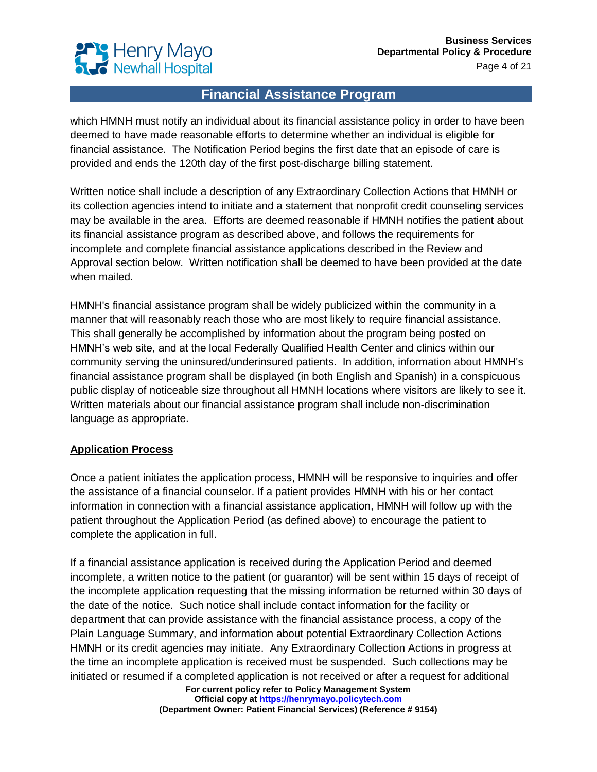

which HMNH must notify an individual about its financial assistance policy in order to have been deemed to have made reasonable efforts to determine whether an individual is eligible for financial assistance. The Notification Period begins the first date that an episode of care is provided and ends the 120th day of the first post-discharge billing statement.

Written notice shall include a description of any Extraordinary Collection Actions that HMNH or its collection agencies intend to initiate and a statement that nonprofit credit counseling services may be available in the area. Efforts are deemed reasonable if HMNH notifies the patient about its financial assistance program as described above, and follows the requirements for incomplete and complete financial assistance applications described in the Review and Approval section below. Written notification shall be deemed to have been provided at the date when mailed.

HMNH's financial assistance program shall be widely publicized within the community in a manner that will reasonably reach those who are most likely to require financial assistance. This shall generally be accomplished by information about the program being posted on HMNH's web site, and at the local Federally Qualified Health Center and clinics within our community serving the uninsured/underinsured patients. In addition, information about HMNH's financial assistance program shall be displayed (in both English and Spanish) in a conspicuous public display of noticeable size throughout all HMNH locations where visitors are likely to see it. Written materials about our financial assistance program shall include non-discrimination language as appropriate.

#### **Application Process**

Once a patient initiates the application process, HMNH will be responsive to inquiries and offer the assistance of a financial counselor. If a patient provides HMNH with his or her contact information in connection with a financial assistance application, HMNH will follow up with the patient throughout the Application Period (as defined above) to encourage the patient to complete the application in full.

If a financial assistance application is received during the Application Period and deemed incomplete, a written notice to the patient (or guarantor) will be sent within 15 days of receipt of the incomplete application requesting that the missing information be returned within 30 days of the date of the notice. Such notice shall include contact information for the facility or department that can provide assistance with the financial assistance process, a copy of the Plain Language Summary, and information about potential Extraordinary Collection Actions HMNH or its credit agencies may initiate. Any Extraordinary Collection Actions in progress at the time an incomplete application is received must be suspended. Such collections may be initiated or resumed if a completed application is not received or after a request for additional

**For current policy refer to Policy Management System Official copy at [https://henrymayo.policytech.com](https://henrymayo.policytech.com/) (Department Owner: Patient Financial Services) (Reference # 9154)**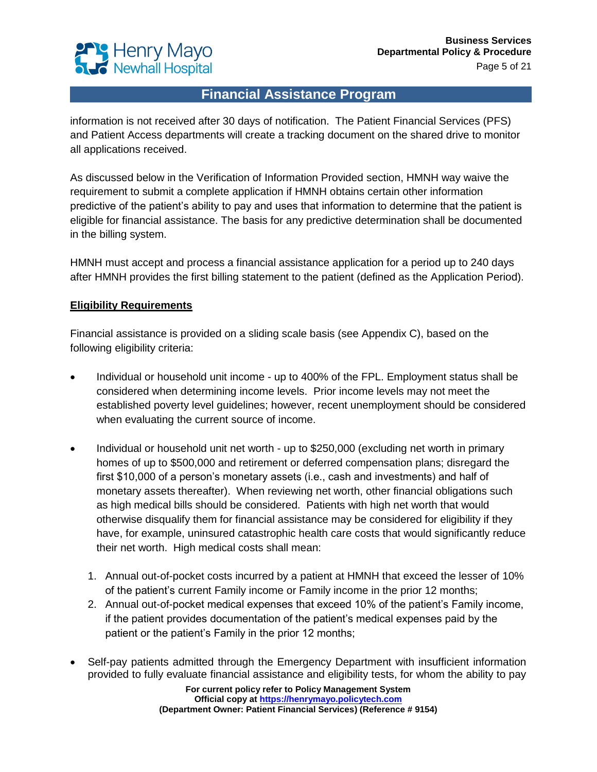

information is not received after 30 days of notification. The Patient Financial Services (PFS) and Patient Access departments will create a tracking document on the shared drive to monitor all applications received.

As discussed below in the Verification of Information Provided section, HMNH way waive the requirement to submit a complete application if HMNH obtains certain other information predictive of the patient's ability to pay and uses that information to determine that the patient is eligible for financial assistance. The basis for any predictive determination shall be documented in the billing system.

HMNH must accept and process a financial assistance application for a period up to 240 days after HMNH provides the first billing statement to the patient (defined as the Application Period).

#### **Eligibility Requirements**

Financial assistance is provided on a sliding scale basis (see Appendix C), based on the following eligibility criteria:

- Individual or household unit income up to 400% of the FPL. Employment status shall be considered when determining income levels. Prior income levels may not meet the established poverty level guidelines; however, recent unemployment should be considered when evaluating the current source of income.
- Individual or household unit net worth up to \$250,000 (excluding net worth in primary homes of up to \$500,000 and retirement or deferred compensation plans; disregard the first \$10,000 of a person's monetary assets (i.e., cash and investments) and half of monetary assets thereafter). When reviewing net worth, other financial obligations such as high medical bills should be considered. Patients with high net worth that would otherwise disqualify them for financial assistance may be considered for eligibility if they have, for example, uninsured catastrophic health care costs that would significantly reduce their net worth. High medical costs shall mean:
	- 1. Annual out-of-pocket costs incurred by a patient at HMNH that exceed the lesser of 10% of the patient's current Family income or Family income in the prior 12 months;
	- 2. Annual out-of-pocket medical expenses that exceed 10% of the patient's Family income, if the patient provides documentation of the patient's medical expenses paid by the patient or the patient's Family in the prior 12 months;
- Self-pay patients admitted through the Emergency Department with insufficient information provided to fully evaluate financial assistance and eligibility tests, for whom the ability to pay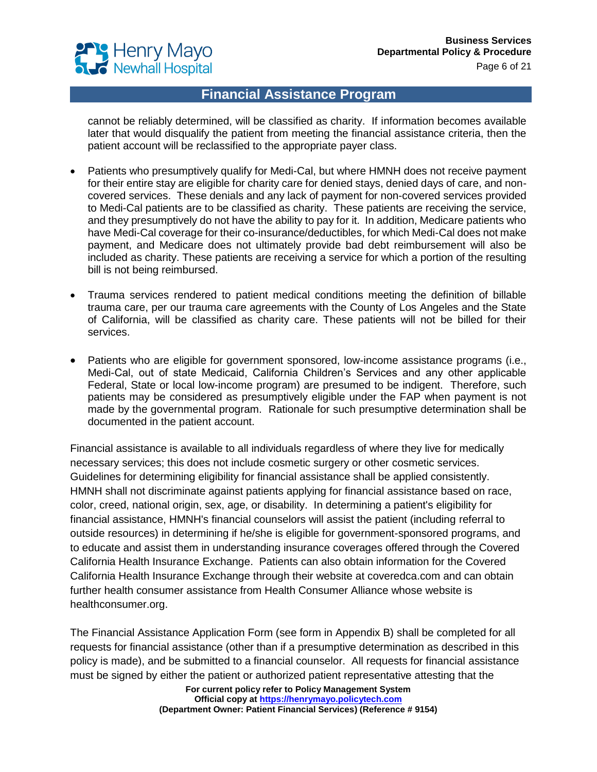

cannot be reliably determined, will be classified as charity. If information becomes available later that would disqualify the patient from meeting the financial assistance criteria, then the patient account will be reclassified to the appropriate payer class.

- Patients who presumptively qualify for Medi-Cal, but where HMNH does not receive payment for their entire stay are eligible for charity care for denied stays, denied days of care, and noncovered services. These denials and any lack of payment for non-covered services provided to Medi-Cal patients are to be classified as charity. These patients are receiving the service, and they presumptively do not have the ability to pay for it. In addition, Medicare patients who have Medi-Cal coverage for their co-insurance/deductibles, for which Medi-Cal does not make payment, and Medicare does not ultimately provide bad debt reimbursement will also be included as charity. These patients are receiving a service for which a portion of the resulting bill is not being reimbursed.
- Trauma services rendered to patient medical conditions meeting the definition of billable trauma care, per our trauma care agreements with the County of Los Angeles and the State of California, will be classified as charity care. These patients will not be billed for their services.
- Patients who are eligible for government sponsored, low-income assistance programs (i.e., Medi-Cal, out of state Medicaid, California Children's Services and any other applicable Federal, State or local low-income program) are presumed to be indigent. Therefore, such patients may be considered as presumptively eligible under the FAP when payment is not made by the governmental program. Rationale for such presumptive determination shall be documented in the patient account.

Financial assistance is available to all individuals regardless of where they live for medically necessary services; this does not include cosmetic surgery or other cosmetic services. Guidelines for determining eligibility for financial assistance shall be applied consistently. HMNH shall not discriminate against patients applying for financial assistance based on race, color, creed, national origin, sex, age, or disability. In determining a patient's eligibility for financial assistance, HMNH's financial counselors will assist the patient (including referral to outside resources) in determining if he/she is eligible for government-sponsored programs, and to educate and assist them in understanding insurance coverages offered through the Covered California Health Insurance Exchange. Patients can also obtain information for the Covered California Health Insurance Exchange through their website at coveredca.com and can obtain further health consumer assistance from Health Consumer Alliance whose website is healthconsumer.org.

The Financial Assistance Application Form (see form in Appendix B) shall be completed for all requests for financial assistance (other than if a presumptive determination as described in this policy is made), and be submitted to a financial counselor. All requests for financial assistance must be signed by either the patient or authorized patient representative attesting that the

**For current policy refer to Policy Management System Official copy at [https://henrymayo.policytech.com](https://henrymayo.policytech.com/) (Department Owner: Patient Financial Services) (Reference # 9154)**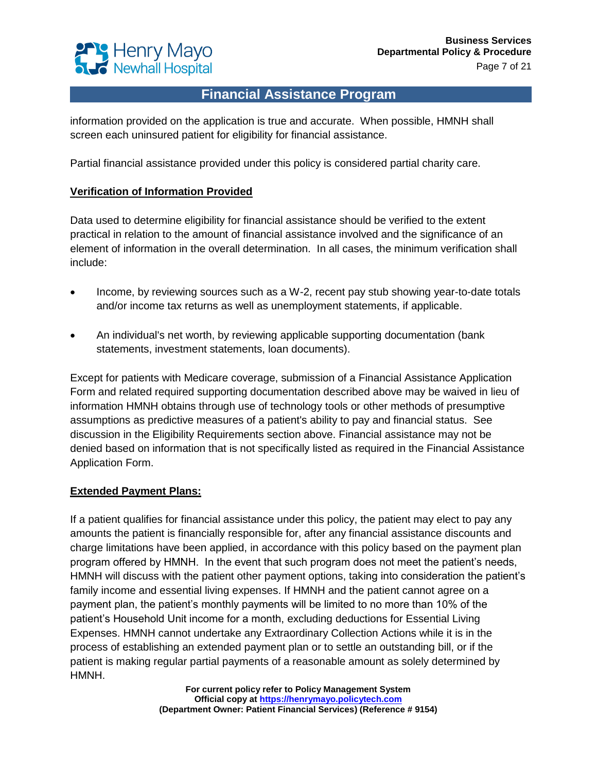

information provided on the application is true and accurate. When possible, HMNH shall screen each uninsured patient for eligibility for financial assistance.

Partial financial assistance provided under this policy is considered partial charity care.

#### **Verification of Information Provided**

Data used to determine eligibility for financial assistance should be verified to the extent practical in relation to the amount of financial assistance involved and the significance of an element of information in the overall determination. In all cases, the minimum verification shall include:

- Income, by reviewing sources such as a W-2, recent pay stub showing year-to-date totals and/or income tax returns as well as unemployment statements, if applicable.
- An individual's net worth, by reviewing applicable supporting documentation (bank statements, investment statements, loan documents).

Except for patients with Medicare coverage, submission of a Financial Assistance Application Form and related required supporting documentation described above may be waived in lieu of information HMNH obtains through use of technology tools or other methods of presumptive assumptions as predictive measures of a patient's ability to pay and financial status. See discussion in the Eligibility Requirements section above. Financial assistance may not be denied based on information that is not specifically listed as required in the Financial Assistance Application Form.

#### **Extended Payment Plans:**

If a patient qualifies for financial assistance under this policy, the patient may elect to pay any amounts the patient is financially responsible for, after any financial assistance discounts and charge limitations have been applied, in accordance with this policy based on the payment plan program offered by HMNH. In the event that such program does not meet the patient's needs, HMNH will discuss with the patient other payment options, taking into consideration the patient's family income and essential living expenses. If HMNH and the patient cannot agree on a payment plan, the patient's monthly payments will be limited to no more than 10% of the patient's Household Unit income for a month, excluding deductions for Essential Living Expenses. HMNH cannot undertake any Extraordinary Collection Actions while it is in the process of establishing an extended payment plan or to settle an outstanding bill, or if the patient is making regular partial payments of a reasonable amount as solely determined by HMNH.

> **For current policy refer to Policy Management System Official copy at [https://henrymayo.policytech.com](https://henrymayo.policytech.com/) (Department Owner: Patient Financial Services) (Reference # 9154)**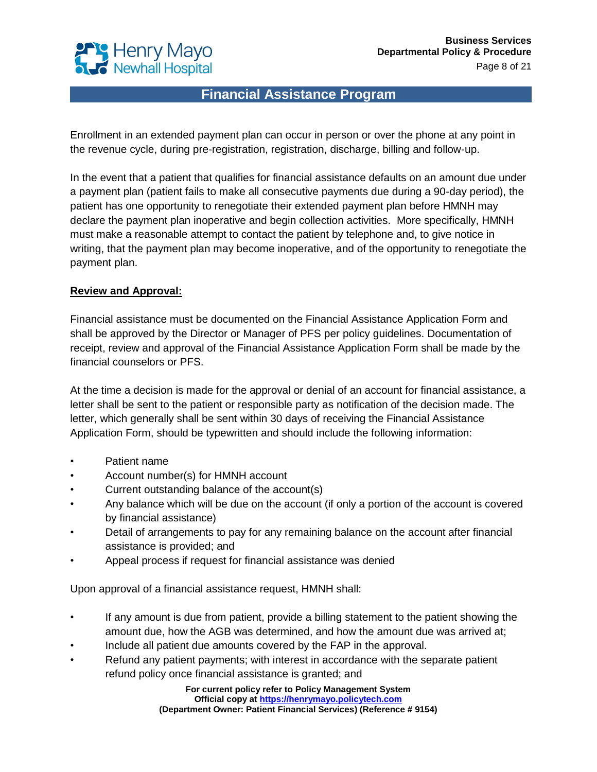

Enrollment in an extended payment plan can occur in person or over the phone at any point in the revenue cycle, during pre-registration, registration, discharge, billing and follow-up.

In the event that a patient that qualifies for financial assistance defaults on an amount due under a payment plan (patient fails to make all consecutive payments due during a 90-day period), the patient has one opportunity to renegotiate their extended payment plan before HMNH may declare the payment plan inoperative and begin collection activities. More specifically, HMNH must make a reasonable attempt to contact the patient by telephone and, to give notice in writing, that the payment plan may become inoperative, and of the opportunity to renegotiate the payment plan.

#### **Review and Approval:**

Financial assistance must be documented on the Financial Assistance Application Form and shall be approved by the Director or Manager of PFS per policy guidelines. Documentation of receipt, review and approval of the Financial Assistance Application Form shall be made by the financial counselors or PFS.

At the time a decision is made for the approval or denial of an account for financial assistance, a letter shall be sent to the patient or responsible party as notification of the decision made. The letter, which generally shall be sent within 30 days of receiving the Financial Assistance Application Form, should be typewritten and should include the following information:

- Patient name
- Account number(s) for HMNH account
- Current outstanding balance of the account(s)
- Any balance which will be due on the account (if only a portion of the account is covered by financial assistance)
- Detail of arrangements to pay for any remaining balance on the account after financial assistance is provided; and
- Appeal process if request for financial assistance was denied

Upon approval of a financial assistance request, HMNH shall:

- If any amount is due from patient, provide a billing statement to the patient showing the amount due, how the AGB was determined, and how the amount due was arrived at;
- Include all patient due amounts covered by the FAP in the approval.
- Refund any patient payments; with interest in accordance with the separate patient refund policy once financial assistance is granted; and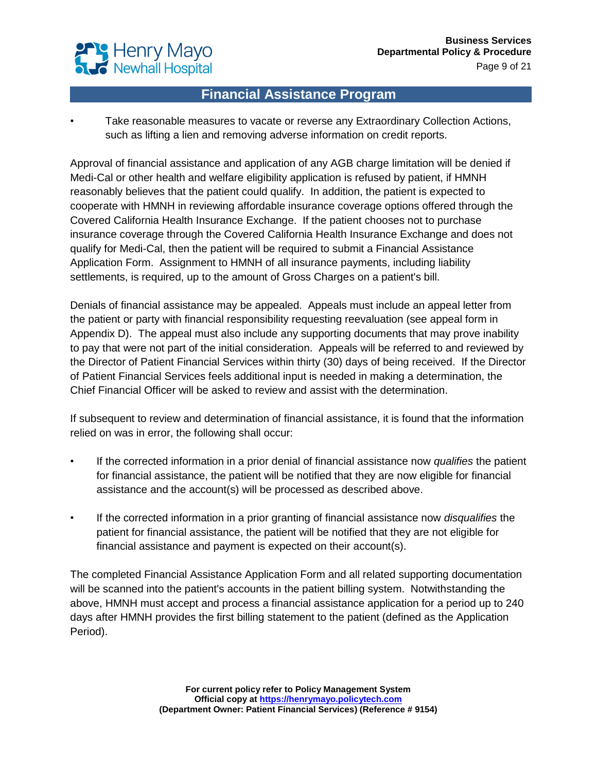

• Take reasonable measures to vacate or reverse any Extraordinary Collection Actions, such as lifting a lien and removing adverse information on credit reports.

Approval of financial assistance and application of any AGB charge limitation will be denied if Medi-Cal or other health and welfare eligibility application is refused by patient, if HMNH reasonably believes that the patient could qualify. In addition, the patient is expected to cooperate with HMNH in reviewing affordable insurance coverage options offered through the Covered California Health Insurance Exchange. If the patient chooses not to purchase insurance coverage through the Covered California Health Insurance Exchange and does not qualify for Medi-Cal, then the patient will be required to submit a Financial Assistance Application Form. Assignment to HMNH of all insurance payments, including liability settlements, is required, up to the amount of Gross Charges on a patient's bill.

Denials of financial assistance may be appealed. Appeals must include an appeal letter from the patient or party with financial responsibility requesting reevaluation (see appeal form in Appendix D). The appeal must also include any supporting documents that may prove inability to pay that were not part of the initial consideration. Appeals will be referred to and reviewed by the Director of Patient Financial Services within thirty (30) days of being received. If the Director of Patient Financial Services feels additional input is needed in making a determination, the Chief Financial Officer will be asked to review and assist with the determination.

If subsequent to review and determination of financial assistance, it is found that the information relied on was in error, the following shall occur:

- If the corrected information in a prior denial of financial assistance now *qualifies* the patient for financial assistance, the patient will be notified that they are now eligible for financial assistance and the account(s) will be processed as described above.
- If the corrected information in a prior granting of financial assistance now *disqualifies* the patient for financial assistance, the patient will be notified that they are not eligible for financial assistance and payment is expected on their account(s).

The completed Financial Assistance Application Form and all related supporting documentation will be scanned into the patient's accounts in the patient billing system. Notwithstanding the above, HMNH must accept and process a financial assistance application for a period up to 240 days after HMNH provides the first billing statement to the patient (defined as the Application Period).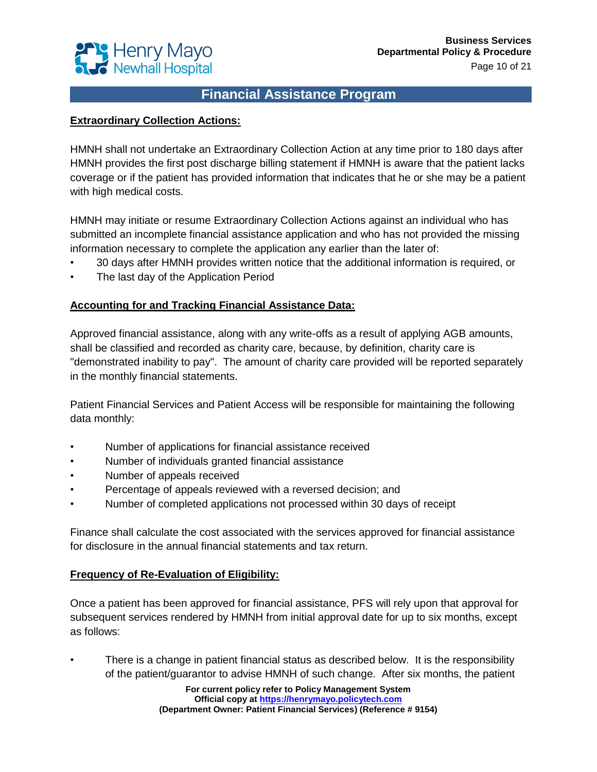

#### **Extraordinary Collection Actions:**

HMNH shall not undertake an Extraordinary Collection Action at any time prior to 180 days after HMNH provides the first post discharge billing statement if HMNH is aware that the patient lacks coverage or if the patient has provided information that indicates that he or she may be a patient with high medical costs.

HMNH may initiate or resume Extraordinary Collection Actions against an individual who has submitted an incomplete financial assistance application and who has not provided the missing information necessary to complete the application any earlier than the later of:

- 30 days after HMNH provides written notice that the additional information is required, or
- The last day of the Application Period

#### **Accounting for and Tracking Financial Assistance Data:**

Approved financial assistance, along with any write-offs as a result of applying AGB amounts, shall be classified and recorded as charity care, because, by definition, charity care is "demonstrated inability to pay". The amount of charity care provided will be reported separately in the monthly financial statements.

Patient Financial Services and Patient Access will be responsible for maintaining the following data monthly:

- Number of applications for financial assistance received
- Number of individuals granted financial assistance
- Number of appeals received
- Percentage of appeals reviewed with a reversed decision; and
- Number of completed applications not processed within 30 days of receipt

Finance shall calculate the cost associated with the services approved for financial assistance for disclosure in the annual financial statements and tax return.

#### **Frequency of Re-Evaluation of Eligibility:**

Once a patient has been approved for financial assistance, PFS will rely upon that approval for subsequent services rendered by HMNH from initial approval date for up to six months, except as follows:

• There is a change in patient financial status as described below. It is the responsibility of the patient/guarantor to advise HMNH of such change. After six months, the patient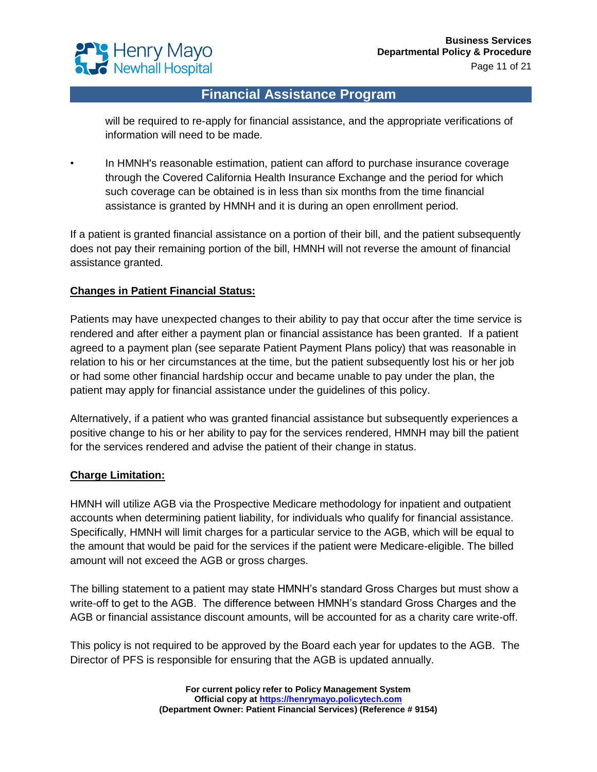

will be required to re-apply for financial assistance, and the appropriate verifications of information will need to be made.

• In HMNH's reasonable estimation, patient can afford to purchase insurance coverage through the Covered California Health Insurance Exchange and the period for which such coverage can be obtained is in less than six months from the time financial assistance is granted by HMNH and it is during an open enrollment period.

If a patient is granted financial assistance on a portion of their bill, and the patient subsequently does not pay their remaining portion of the bill, HMNH will not reverse the amount of financial assistance granted.

#### **Changes in Patient Financial Status:**

Patients may have unexpected changes to their ability to pay that occur after the time service is rendered and after either a payment plan or financial assistance has been granted. If a patient agreed to a payment plan (see separate Patient Payment Plans policy) that was reasonable in relation to his or her circumstances at the time, but the patient subsequently lost his or her job or had some other financial hardship occur and became unable to pay under the plan, the patient may apply for financial assistance under the guidelines of this policy.

Alternatively, if a patient who was granted financial assistance but subsequently experiences a positive change to his or her ability to pay for the services rendered, HMNH may bill the patient for the services rendered and advise the patient of their change in status.

#### **Charge Limitation:**

HMNH will utilize AGB via the Prospective Medicare methodology for inpatient and outpatient accounts when determining patient liability, for individuals who qualify for financial assistance. Specifically, HMNH will limit charges for a particular service to the AGB, which will be equal to the amount that would be paid for the services if the patient were Medicare-eligible. The billed amount will not exceed the AGB or gross charges.

The billing statement to a patient may state HMNH's standard Gross Charges but must show a write-off to get to the AGB. The difference between HMNH's standard Gross Charges and the AGB or financial assistance discount amounts, will be accounted for as a charity care write-off.

This policy is not required to be approved by the Board each year for updates to the AGB. The Director of PFS is responsible for ensuring that the AGB is updated annually.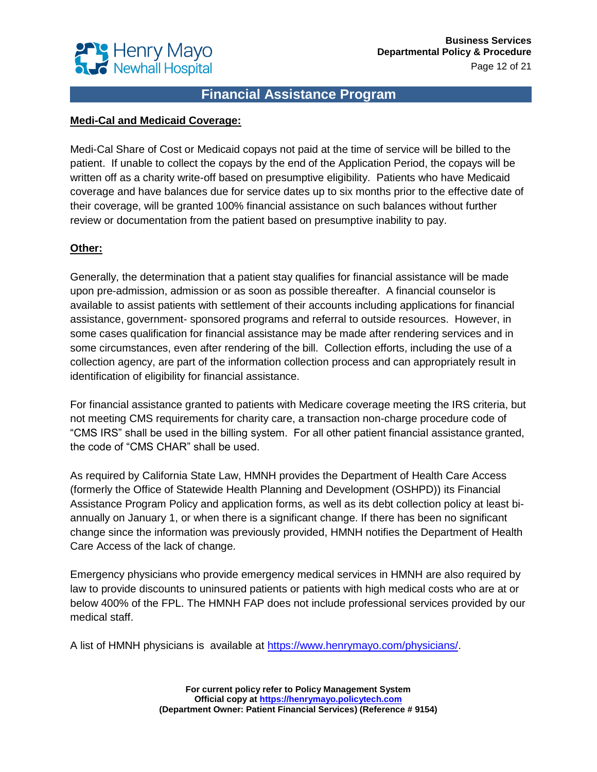

#### **Medi-Cal and Medicaid Coverage:**

Medi-Cal Share of Cost or Medicaid copays not paid at the time of service will be billed to the patient. If unable to collect the copays by the end of the Application Period, the copays will be written off as a charity write-off based on presumptive eligibility. Patients who have Medicaid coverage and have balances due for service dates up to six months prior to the effective date of their coverage, will be granted 100% financial assistance on such balances without further review or documentation from the patient based on presumptive inability to pay.

#### **Other:**

Generally, the determination that a patient stay qualifies for financial assistance will be made upon pre-admission, admission or as soon as possible thereafter. A financial counselor is available to assist patients with settlement of their accounts including applications for financial assistance, government- sponsored programs and referral to outside resources. However, in some cases qualification for financial assistance may be made after rendering services and in some circumstances, even after rendering of the bill. Collection efforts, including the use of a collection agency, are part of the information collection process and can appropriately result in identification of eligibility for financial assistance.

For financial assistance granted to patients with Medicare coverage meeting the IRS criteria, but not meeting CMS requirements for charity care, a transaction non-charge procedure code of "CMS IRS" shall be used in the billing system. For all other patient financial assistance granted, the code of "CMS CHAR" shall be used.

As required by California State Law, HMNH provides the Department of Health Care Access (formerly the Office of Statewide Health Planning and Development (OSHPD)) its Financial Assistance Program Policy and application forms, as well as its debt collection policy at least biannually on January 1, or when there is a significant change. If there has been no significant change since the information was previously provided, HMNH notifies the Department of Health Care Access of the lack of change.

Emergency physicians who provide emergency medical services in HMNH are also required by law to provide discounts to uninsured patients or patients with high medical costs who are at or below 400% of the FPL. The HMNH FAP does not include professional services provided by our medical staff.

A list of HMNH physicians is available at [https://www.henrymayo.com/physicians/.](https://www.henrymayo.com/physicians/search-results)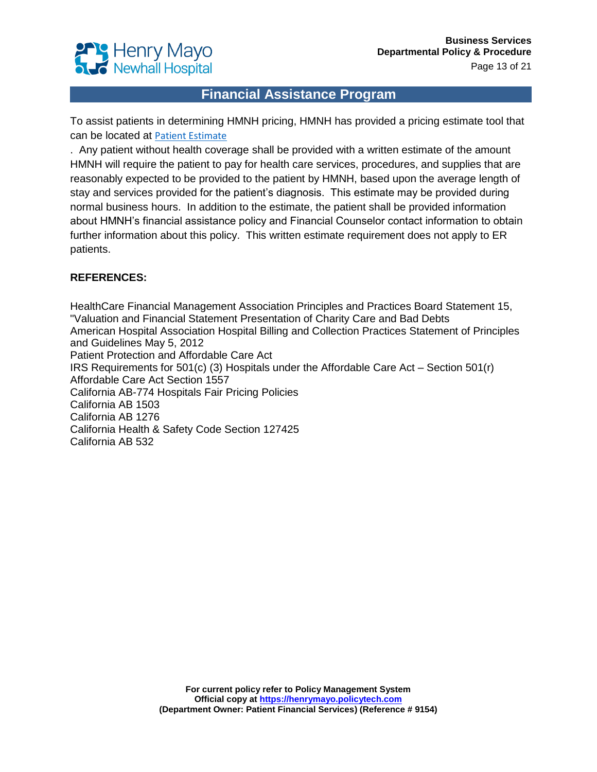

To assist patients in determining HMNH pricing, HMNH has provided a pricing estimate tool that can be located at [Patient Estimate](https://henrymayo.patientsimple.com/guest/#/index)

. Any patient without health coverage shall be provided with a written estimate of the amount HMNH will require the patient to pay for health care services, procedures, and supplies that are reasonably expected to be provided to the patient by HMNH, based upon the average length of stay and services provided for the patient's diagnosis. This estimate may be provided during normal business hours. In addition to the estimate, the patient shall be provided information about HMNH's financial assistance policy and Financial Counselor contact information to obtain further information about this policy. This written estimate requirement does not apply to ER patients.

#### **REFERENCES:**

HealthCare Financial Management Association Principles and Practices Board Statement 15, "Valuation and Financial Statement Presentation of Charity Care and Bad Debts American Hospital Association Hospital Billing and Collection Practices Statement of Principles and Guidelines May 5, 2012 Patient Protection and Affordable Care Act IRS Requirements for 501(c) (3) Hospitals under the Affordable Care Act – Section 501(r) Affordable Care Act Section 1557 California AB-774 Hospitals Fair Pricing Policies California AB 1503 California AB 1276 California Health & Safety Code Section 127425 California AB 532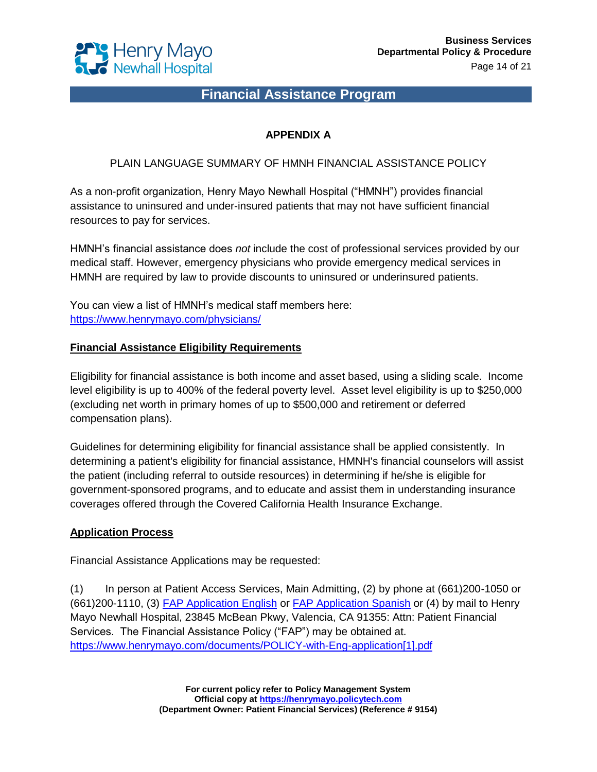

### **APPENDIX A**

PLAIN LANGUAGE SUMMARY OF HMNH FINANCIAL ASSISTANCE POLICY

As a non-profit organization, Henry Mayo Newhall Hospital ("HMNH") provides financial assistance to uninsured and under-insured patients that may not have sufficient financial resources to pay for services.

HMNH's financial assistance does *not* include the cost of professional services provided by our medical staff. However, emergency physicians who provide emergency medical services in HMNH are required by law to provide discounts to uninsured or underinsured patients.

You can view a list of HMNH's medical staff members here: <https://www.henrymayo.com/physicians/>

#### **Financial Assistance Eligibility Requirements**

Eligibility for financial assistance is both income and asset based, using a sliding scale. Income level eligibility is up to 400% of the federal poverty level. Asset level eligibility is up to \$250,000 (excluding net worth in primary homes of up to \$500,000 and retirement or deferred compensation plans).

Guidelines for determining eligibility for financial assistance shall be applied consistently. In determining a patient's eligibility for financial assistance, HMNH's financial counselors will assist the patient (including referral to outside resources) in determining if he/she is eligible for government-sponsored programs, and to educate and assist them in understanding insurance coverages offered through the Covered California Health Insurance Exchange.

#### **Application Process**

Financial Assistance Applications may be requested:

(1) In person at Patient Access Services, Main Admitting, (2) by phone at (661)200-1050 or (661)200-1110, (3) [FAP Application English](https://henrymayo.policytech.com/docview/?docid=16451) or [FAP Application Spanish](https://henrymayo.policytech.com/docview/?docid=15285) or (4) by mail to Henry Mayo Newhall Hospital, 23845 McBean Pkwy, Valencia, CA 91355: Attn: Patient Financial Services. The Financial Assistance Policy ("FAP") may be obtained at. [https://www.henrymayo.com/documents/POLICY-with-Eng-application\[1\].pdf](https://www.henrymayo.com/documents/POLICY-with-Eng-application%5b1%5d.pdf)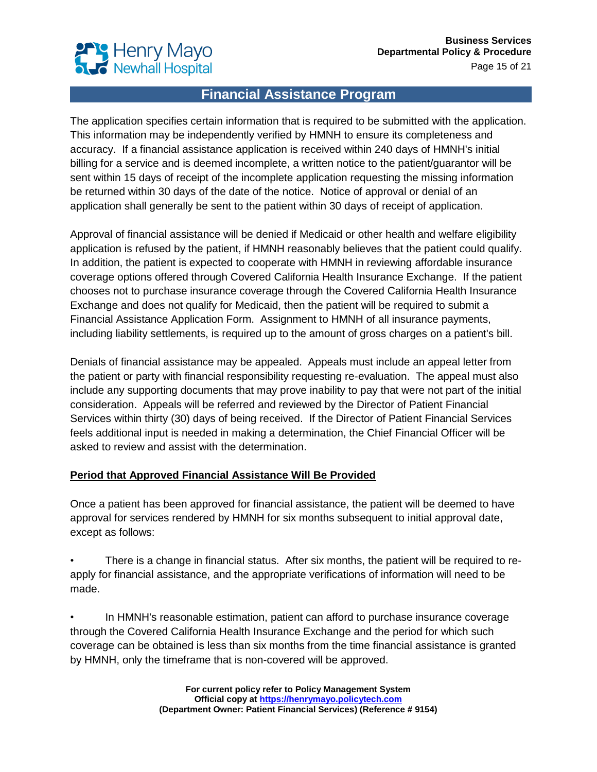

The application specifies certain information that is required to be submitted with the application. This information may be independently verified by HMNH to ensure its completeness and accuracy. If a financial assistance application is received within 240 days of HMNH's initial billing for a service and is deemed incomplete, a written notice to the patient/guarantor will be sent within 15 days of receipt of the incomplete application requesting the missing information be returned within 30 days of the date of the notice. Notice of approval or denial of an application shall generally be sent to the patient within 30 days of receipt of application.

Approval of financial assistance will be denied if Medicaid or other health and welfare eligibility application is refused by the patient, if HMNH reasonably believes that the patient could qualify. In addition, the patient is expected to cooperate with HMNH in reviewing affordable insurance coverage options offered through Covered California Health Insurance Exchange. If the patient chooses not to purchase insurance coverage through the Covered California Health Insurance Exchange and does not qualify for Medicaid, then the patient will be required to submit a Financial Assistance Application Form. Assignment to HMNH of all insurance payments, including liability settlements, is required up to the amount of gross charges on a patient's bill.

Denials of financial assistance may be appealed. Appeals must include an appeal letter from the patient or party with financial responsibility requesting re-evaluation. The appeal must also include any supporting documents that may prove inability to pay that were not part of the initial consideration. Appeals will be referred and reviewed by the Director of Patient Financial Services within thirty (30) days of being received. If the Director of Patient Financial Services feels additional input is needed in making a determination, the Chief Financial Officer will be asked to review and assist with the determination.

#### **Period that Approved Financial Assistance Will Be Provided**

Once a patient has been approved for financial assistance, the patient will be deemed to have approval for services rendered by HMNH for six months subsequent to initial approval date, except as follows:

• There is a change in financial status. After six months, the patient will be required to reapply for financial assistance, and the appropriate verifications of information will need to be made.

• In HMNH's reasonable estimation, patient can afford to purchase insurance coverage through the Covered California Health Insurance Exchange and the period for which such coverage can be obtained is less than six months from the time financial assistance is granted by HMNH, only the timeframe that is non-covered will be approved.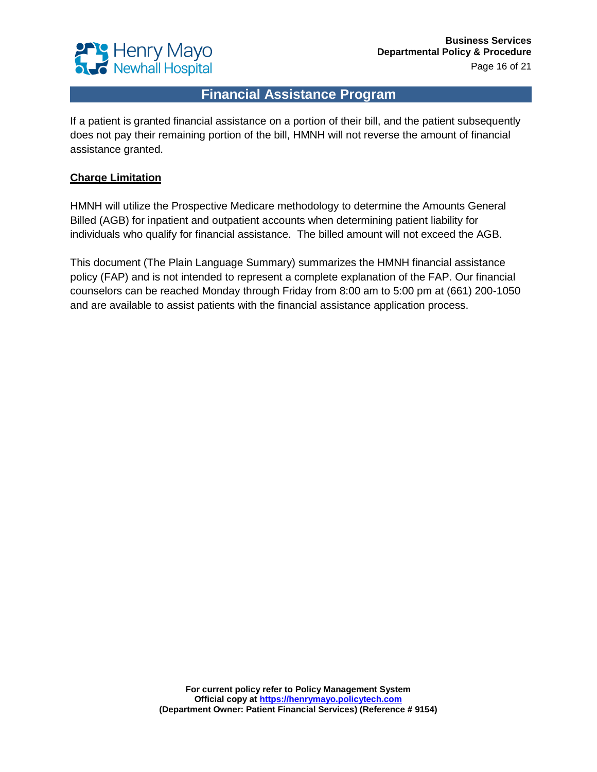

If a patient is granted financial assistance on a portion of their bill, and the patient subsequently does not pay their remaining portion of the bill, HMNH will not reverse the amount of financial assistance granted.

#### **Charge Limitation**

HMNH will utilize the Prospective Medicare methodology to determine the Amounts General Billed (AGB) for inpatient and outpatient accounts when determining patient liability for individuals who qualify for financial assistance. The billed amount will not exceed the AGB.

This document (The Plain Language Summary) summarizes the HMNH financial assistance policy (FAP) and is not intended to represent a complete explanation of the FAP. Our financial counselors can be reached Monday through Friday from 8:00 am to 5:00 pm at (661) 200-1050 and are available to assist patients with the financial assistance application process.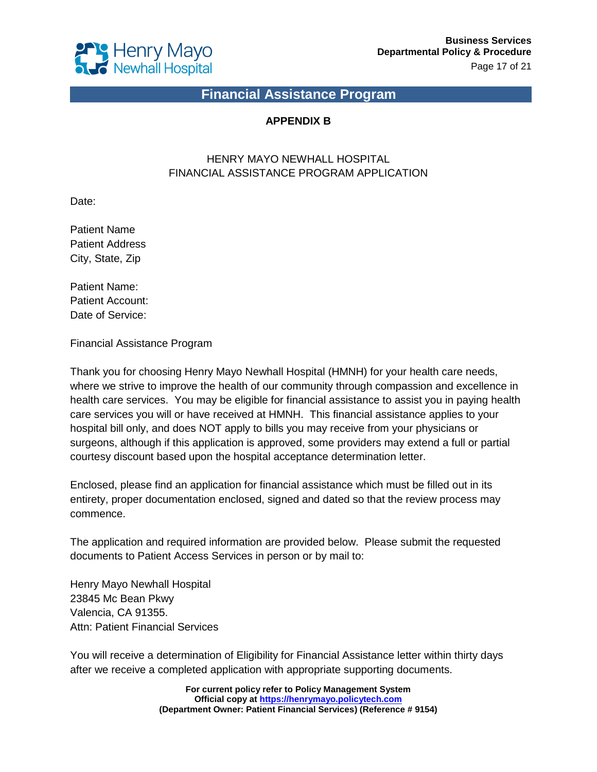

### **APPENDIX B**

### HENRY MAYO NEWHALL HOSPITAL FINANCIAL ASSISTANCE PROGRAM APPLICATION

Date:

Patient Name Patient Address City, State, Zip

Patient Name: Patient Account: Date of Service:

Financial Assistance Program

Thank you for choosing Henry Mayo Newhall Hospital (HMNH) for your health care needs, where we strive to improve the health of our community through compassion and excellence in health care services. You may be eligible for financial assistance to assist you in paying health care services you will or have received at HMNH. This financial assistance applies to your hospital bill only, and does NOT apply to bills you may receive from your physicians or surgeons, although if this application is approved, some providers may extend a full or partial courtesy discount based upon the hospital acceptance determination letter.

Enclosed, please find an application for financial assistance which must be filled out in its entirety, proper documentation enclosed, signed and dated so that the review process may commence.

The application and required information are provided below. Please submit the requested documents to Patient Access Services in person or by mail to:

Henry Mayo Newhall Hospital 23845 Mc Bean Pkwy Valencia, CA 91355. Attn: Patient Financial Services

You will receive a determination of Eligibility for Financial Assistance letter within thirty days after we receive a completed application with appropriate supporting documents.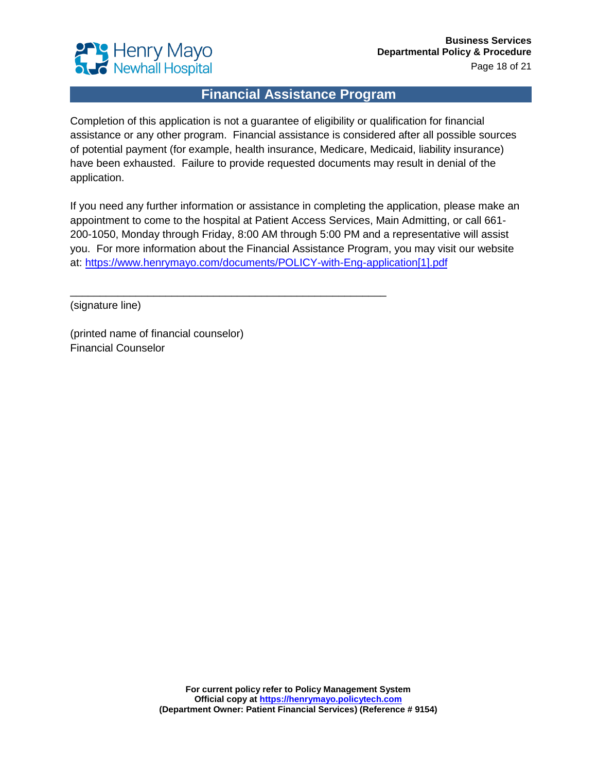

Completion of this application is not a guarantee of eligibility or qualification for financial assistance or any other program. Financial assistance is considered after all possible sources of potential payment (for example, health insurance, Medicare, Medicaid, liability insurance) have been exhausted. Failure to provide requested documents may result in denial of the application.

If you need any further information or assistance in completing the application, please make an appointment to come to the hospital at Patient Access Services, Main Admitting, or call 661- 200-1050, Monday through Friday, 8:00 AM through 5:00 PM and a representative will assist you. For more information about the Financial Assistance Program, you may visit our website at: [https://www.henrymayo.com/documents/POLICY-with-Eng-application\[1\].pdf](https://www.henrymayo.com/documents/POLICY-with-Eng-application%5b1%5d.pdf)

\_\_\_\_\_\_\_\_\_\_\_\_\_\_\_\_\_\_\_\_\_\_\_\_\_\_\_\_\_\_\_\_\_\_\_\_\_\_\_\_\_\_\_\_\_\_\_\_\_\_\_\_\_

(signature line)

(printed name of financial counselor) Financial Counselor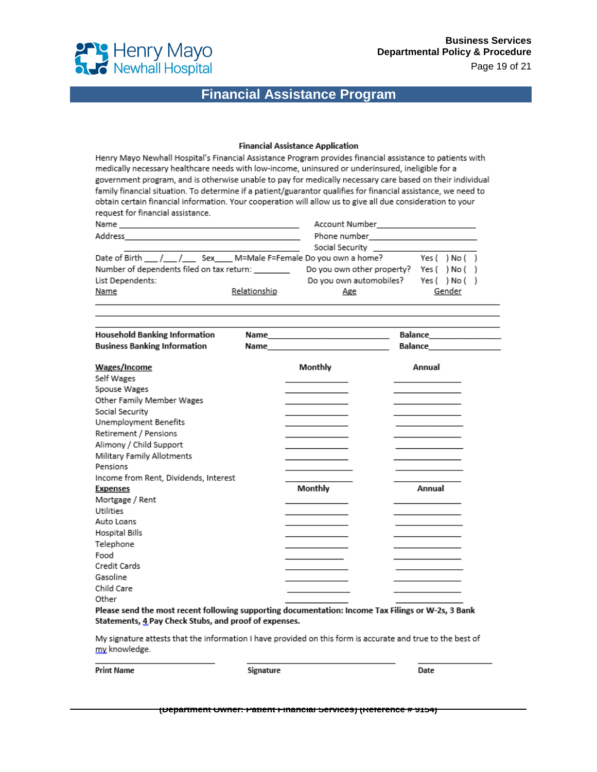

#### **Financial Assistance Application**

Henry Mayo Newhall Hospital's Financial Assistance Program provides financial assistance to patients with medically necessary healthcare needs with low-income, uninsured or underinsured, ineligible for a government program, and is otherwise unable to pay for medically necessary care based on their individual family financial situation. To determine if a patient/guarantor qualifies for financial assistance, we need to obtain certain financial information. Your cooperation will allow us to give all due consideration to your request for financial assistance.

| Name<br>the contract of the contract of the contract of the contract of the contract of the |              | Account Number                                                                                                                                                                                                                       | <u> 1989 - Andrea State Barbara, amerikan per</u> |  |  |
|---------------------------------------------------------------------------------------------|--------------|--------------------------------------------------------------------------------------------------------------------------------------------------------------------------------------------------------------------------------------|---------------------------------------------------|--|--|
| Address                                                                                     |              | Phone number <b>that the contract of the contract of the contract of the contract of the contract of the contract of the contract of the contract of the contract of the contract of the contract of the contract of the contrac</b> |                                                   |  |  |
|                                                                                             |              | Social Security <b>Social Security</b>                                                                                                                                                                                               |                                                   |  |  |
| Date of Birth ___ /___ /_____ Sex_____ M=Male F=Female Do you own a home?                   |              |                                                                                                                                                                                                                                      | Yes ( ) No ( )                                    |  |  |
| Number of dependents filed on tax return: ________                                          |              | Do you own other property?                                                                                                                                                                                                           | Yes() No()                                        |  |  |
| List Dependents:                                                                            |              | Do you own automobiles?                                                                                                                                                                                                              | Yes() No()                                        |  |  |
| Name                                                                                        | Relationship | Age                                                                                                                                                                                                                                  | Gender                                            |  |  |

| <b>Household Banking Information</b>  |                                                                                                                 |                              |
|---------------------------------------|-----------------------------------------------------------------------------------------------------------------|------------------------------|
| <b>Business Banking Information</b>   | Name and the state of the state of the state of the state of the state of the state of the state of the state o | Balance <b>All Contracts</b> |
| Wages/Income                          | Monthly                                                                                                         | Annual                       |
| Self Wages                            |                                                                                                                 |                              |
| Spouse Wages                          |                                                                                                                 |                              |
| Other Family Member Wages             |                                                                                                                 |                              |
| Social Security                       |                                                                                                                 |                              |
| Unemployment Benefits                 |                                                                                                                 |                              |
| Retirement / Pensions                 |                                                                                                                 |                              |
| Alimony / Child Support               |                                                                                                                 |                              |
| Military Family Allotments            |                                                                                                                 |                              |
| Pensions                              |                                                                                                                 |                              |
| Income from Rent, Dividends, Interest |                                                                                                                 |                              |
| <b>Expenses</b>                       | Monthly                                                                                                         | Annual                       |
| Mortgage / Rent                       |                                                                                                                 |                              |
| <b>Utilities</b>                      |                                                                                                                 |                              |
| Auto Loans                            |                                                                                                                 |                              |
| Hospital Bills                        |                                                                                                                 |                              |
| Telephone                             |                                                                                                                 |                              |
| Food                                  |                                                                                                                 |                              |
| Credit Cards                          |                                                                                                                 |                              |
| Gasoline                              |                                                                                                                 |                              |
| Child Care                            |                                                                                                                 |                              |
| Other                                 |                                                                                                                 |                              |

Please send the most recent following supporting documentation: Income Tax Filings or W-2s, 3 Bank Statements, 4 Pay Check Stubs, and proof of expenses.

My signature attests that the information I have provided on this form is accurate and true to the best of my knowledge.

**Print Name** 

Signature

Date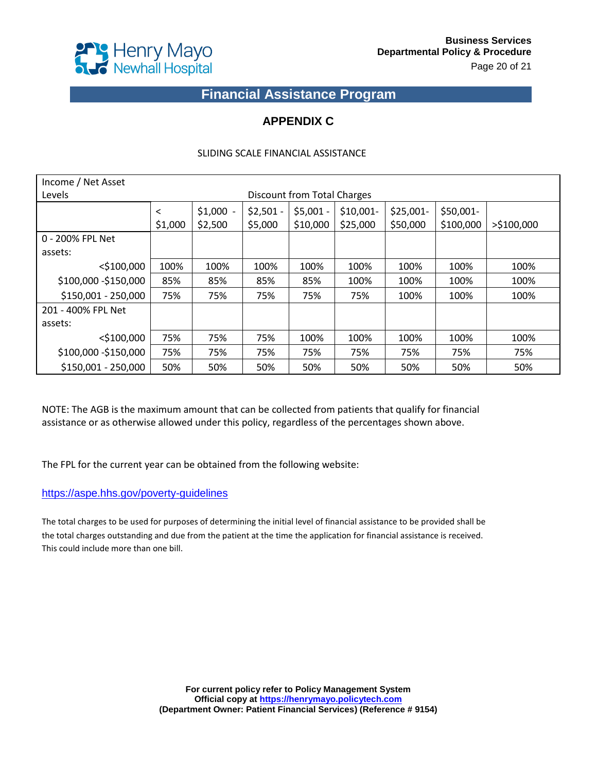

### **APPENDIX C**

#### SLIDING SCALE FINANCIAL ASSISTANCE

| Income / Net Asset    |                    |                       |                       |                             |                        |                        |                         |               |
|-----------------------|--------------------|-----------------------|-----------------------|-----------------------------|------------------------|------------------------|-------------------------|---------------|
| Levels                |                    |                       |                       | Discount from Total Charges |                        |                        |                         |               |
|                       | $\,<\,$<br>\$1,000 | $$1,000 -$<br>\$2,500 | $$2,501 -$<br>\$5,000 | $$5,001 -$<br>\$10,000      | $$10,001-$<br>\$25,000 | $$25,001-$<br>\$50,000 | $$50,001-$<br>\$100,000 | $>$ \$100,000 |
| 0 - 200% FPL Net      |                    |                       |                       |                             |                        |                        |                         |               |
| assets:               |                    |                       |                       |                             |                        |                        |                         |               |
| $<$ \$100,000         | 100%               | 100%                  | 100%                  | 100%                        | 100%                   | 100%                   | 100%                    | 100%          |
| \$100,000 - \$150,000 | 85%                | 85%                   | 85%                   | 85%                         | 100%                   | 100%                   | 100%                    | 100%          |
| \$150,001 - 250,000   | 75%                | 75%                   | 75%                   | 75%                         | 75%                    | 100%                   | 100%                    | 100%          |
| 201 - 400% FPL Net    |                    |                       |                       |                             |                        |                        |                         |               |
| assets:               |                    |                       |                       |                             |                        |                        |                         |               |
| $<$ \$100,000         | 75%                | 75%                   | 75%                   | 100%                        | 100%                   | 100%                   | 100%                    | 100%          |
| \$100,000 - \$150,000 | 75%                | 75%                   | 75%                   | 75%                         | 75%                    | 75%                    | 75%                     | 75%           |
| \$150,001 - 250,000   | 50%                | 50%                   | 50%                   | 50%                         | 50%                    | 50%                    | 50%                     | 50%           |

NOTE: The AGB is the maximum amount that can be collected from patients that qualify for financial assistance or as otherwise allowed under this policy, regardless of the percentages shown above.

The FPL for the current year can be obtained from the following website:

#### <https://aspe.hhs.gov/poverty-guidelines>

The total charges to be used for purposes of determining the initial level of financial assistance to be provided shall be the total charges outstanding and due from the patient at the time the application for financial assistance is received. This could include more than one bill.